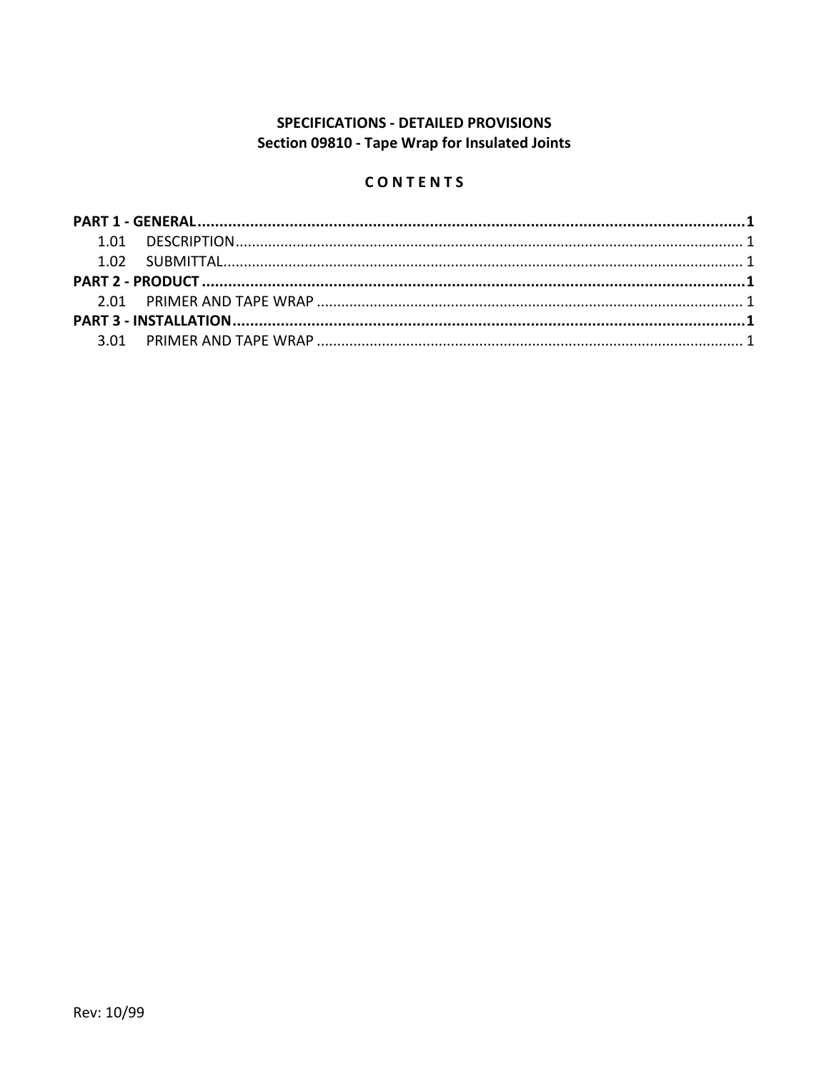# **SPECIFICATIONS - DETAILED PROVISIONS** Section 09810 - Tape Wrap for Insulated Joints

# CONTENTS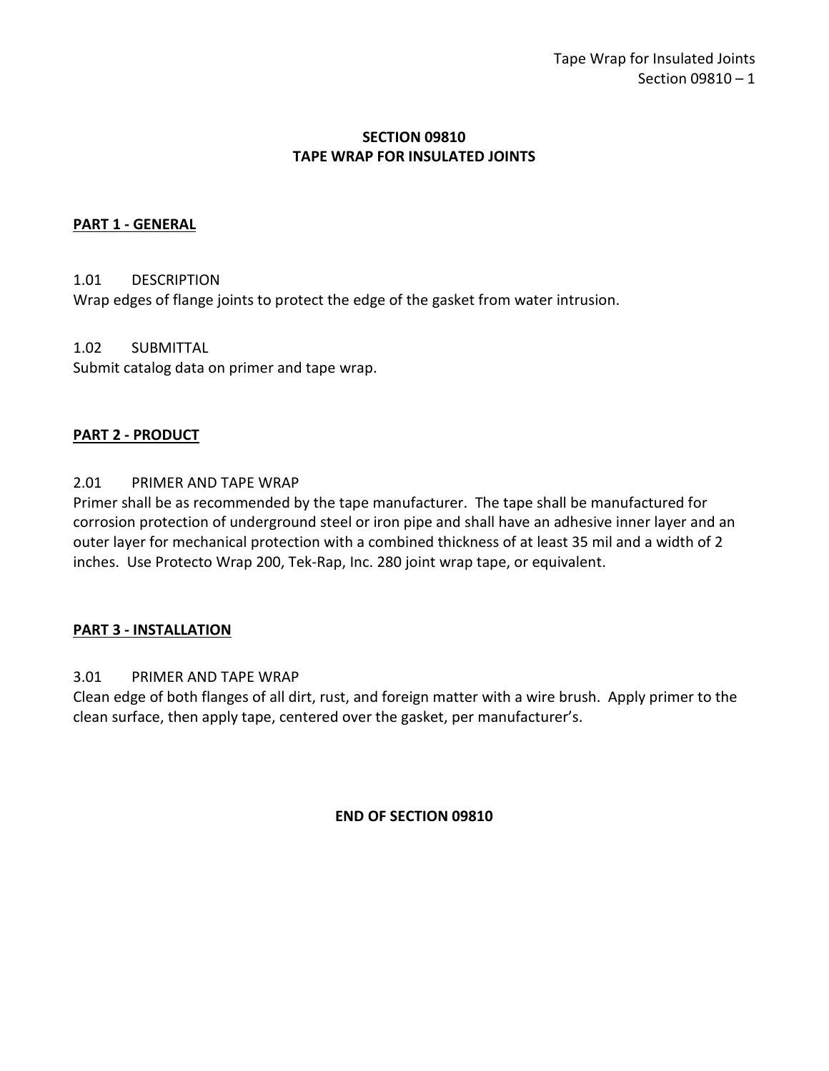## **SECTION 09810 TAPE WRAP FOR INSULATED JOINTS**

## <span id="page-2-0"></span>**PART 1 - GENERAL**

### <span id="page-2-1"></span>1.01 DESCRIPTION

Wrap edges of flange joints to protect the edge of the gasket from water intrusion.

### <span id="page-2-2"></span>1.02 SUBMITTAL

Submit catalog data on primer and tape wrap.

### <span id="page-2-3"></span>**PART 2 - PRODUCT**

### <span id="page-2-4"></span>2.01 PRIMER AND TAPE WRAP

Primer shall be as recommended by the tape manufacturer. The tape shall be manufactured for corrosion protection of underground steel or iron pipe and shall have an adhesive inner layer and an outer layer for mechanical protection with a combined thickness of at least 35 mil and a width of 2 inches. Use Protecto Wrap 200, Tek-Rap, Inc. 280 joint wrap tape, or equivalent.

### <span id="page-2-5"></span>**PART 3 - INSTALLATION**

### <span id="page-2-6"></span>3.01 PRIMER AND TAPE WRAP

Clean edge of both flanges of all dirt, rust, and foreign matter with a wire brush. Apply primer to the clean surface, then apply tape, centered over the gasket, per manufacturer's.

#### **END OF SECTION 09810**